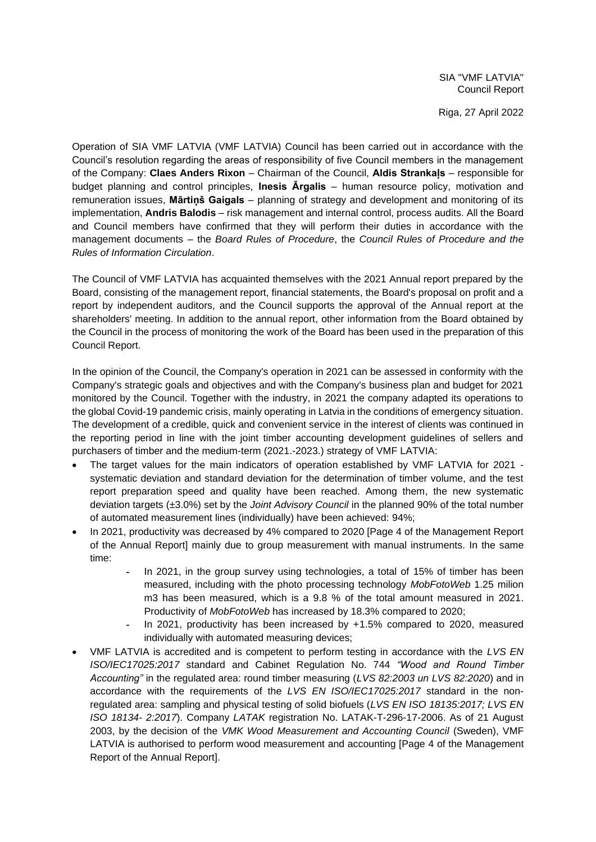Riga, 27 April 2022

Operation of SIA VMF LATVIA (VMF LATVIA) Council has been carried out in accordance with the Council's resolution regarding the areas of responsibility of five Council members in the management of the Company: **Claes Anders Rixon** – Chairman of the Council, **Aldis Strankaļs** – responsible for budget planning and control principles, **Inesis Ārgalis** – human resource policy, motivation and remuneration issues, **Mārtiņš Gaigals** – planning of strategy and development and monitoring of its implementation, **Andris Balodis** – risk management and internal control, process audits. All the Board and Council members have confirmed that they will perform their duties in accordance with the management documents – the *Board Rules of Procedure*, the *Council Rules of Procedure and the Rules of Information Circulation*.

The Council of VMF LATVIA has acquainted themselves with the 2021 Annual report prepared by the Board, consisting of the management report, financial statements, the Board's proposal on profit and a report by independent auditors, and the Council supports the approval of the Annual report at the shareholders' meeting. In addition to the annual report, other information from the Board obtained by the Council in the process of monitoring the work of the Board has been used in the preparation of this Council Report.

In the opinion of the Council, the Company's operation in 2021 can be assessed in conformity with the Company's strategic goals and objectives and with the Company's business plan and budget for 2021 monitored by the Council. Together with the industry, in 2021 the company adapted its operations to the global Covid-19 pandemic crisis, mainly operating in Latvia in the conditions of emergency situation. The development of a credible, quick and convenient service in the interest of clients was continued in the reporting period in line with the joint timber accounting development guidelines of sellers and purchasers of timber and the medium-term (2021.-2023.) strategy of VMF LATVIA:

- The target values for the main indicators of operation established by VMF LATVIA for 2021 systematic deviation and standard deviation for the determination of timber volume, and the test report preparation speed and quality have been reached. Among them, the new systematic deviation targets (±3.0%) set by the *Joint Advisory Council* in the planned 90% of the total number of automated measurement lines (individually) have been achieved: 94%;
- In 2021, productivity was decreased by 4% compared to 2020 [Page 4 of the Management Report of the Annual Report] mainly due to group measurement with manual instruments. In the same time:
	- In 2021, in the group survey using technologies, a total of 15% of timber has been measured, including with the photo processing technology *MobFotoWeb* 1.25 milion m3 has been measured, which is a 9.8 % of the total amount measured in 2021. Productivity of *MobFotoWeb* has increased by 18.3% compared to 2020;
	- In 2021, productivity has been increased by  $+1.5\%$  compared to 2020, measured individually with automated measuring devices;
- VMF LATVIA is accredited and is competent to perform testing in accordance with the *LVS EN ISO/IEC17025:2017* standard and Cabinet Regulation No. 744 *"Wood and Round Timber Accounting"* in the regulated area: round timber measuring (*LVS 82:2003 un LVS 82:2020*) and in accordance with the requirements of the *LVS EN ISO/IEC17025:2017* standard in the nonregulated area: sampling and physical testing of solid biofuels (*LVS EN ISO 18135:2017; LVS EN ISO 18134- 2:2017*). Company *LATAK* registration No. LATAK-T-296-17-2006. As of 21 August 2003, by the decision of the *VMK Wood Measurement and Accounting Council* (Sweden), VMF LATVIA is authorised to perform wood measurement and accounting [Page 4 of the Management Report of the Annual Report].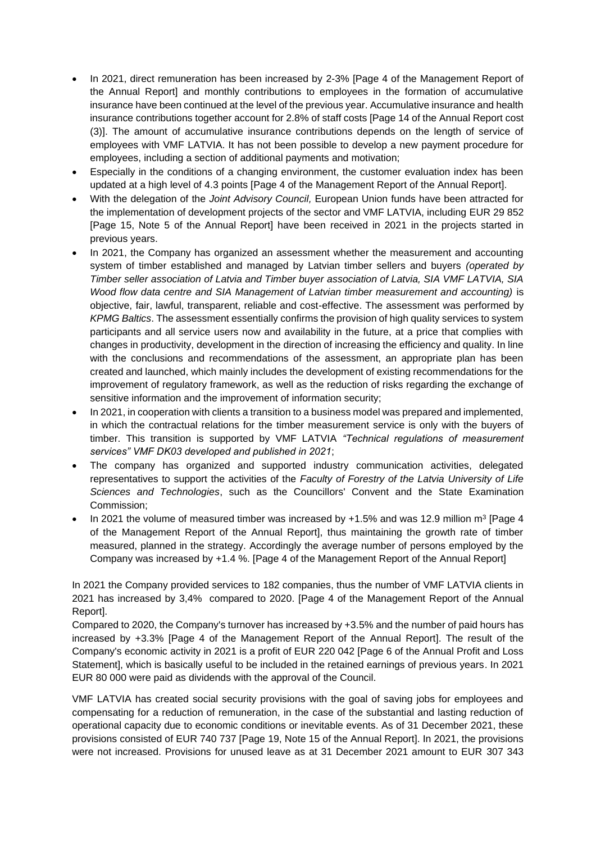- In 2021, direct remuneration has been increased by 2-3% [Page 4 of the Management Report of the Annual Report] and monthly contributions to employees in the formation of accumulative insurance have been continued at the level of the previous year. Accumulative insurance and health insurance contributions together account for 2.8% of staff costs [Page 14 of the Annual Report cost (3)]. The amount of accumulative insurance contributions depends on the length of service of employees with VMF LATVIA. It has not been possible to develop a new payment procedure for employees, including a section of additional payments and motivation;
- Especially in the conditions of a changing environment, the customer evaluation index has been updated at a high level of 4.3 points [Page 4 of the Management Report of the Annual Report].
- With the delegation of the *Joint Advisory Council,* European Union funds have been attracted for the implementation of development projects of the sector and VMF LATVIA, including EUR 29 852 [Page 15, Note 5 of the Annual Report] have been received in 2021 in the projects started in previous years.
- In 2021, the Company has organized an assessment whether the measurement and accounting system of timber established and managed by Latvian timber sellers and buyers *(operated by Timber seller association of Latvia and Timber buyer association of Latvia, SIA VMF LATVIA, SIA Wood flow data centre and SIA Management of Latvian timber measurement and accounting)* is objective, fair, lawful, transparent, reliable and cost-effective. The assessment was performed by *KPMG Baltics*. The assessment essentially confirms the provision of high quality services to system participants and all service users now and availability in the future, at a price that complies with changes in productivity, development in the direction of increasing the efficiency and quality. In line with the conclusions and recommendations of the assessment, an appropriate plan has been created and launched, which mainly includes the development of existing recommendations for the improvement of regulatory framework, as well as the reduction of risks regarding the exchange of sensitive information and the improvement of information security;
- In 2021, in cooperation with clients a transition to a business model was prepared and implemented, in which the contractual relations for the timber measurement service is only with the buyers of timber. This transition is supported by VMF LATVIA *"Technical regulations of measurement services" VMF DK03 developed and published in 2021*;
- The company has organized and supported industry communication activities, delegated representatives to support the activities of the *Faculty of Forestry of the Latvia University of Life Sciences and Technologies*, such as the Councillors' Convent and the State Examination Commission;
- In 2021 the volume of measured timber was increased by  $+1.5\%$  and was 12.9 million m<sup>3</sup> [Page 4 of the Management Report of the Annual Report], thus maintaining the growth rate of timber measured, planned in the strategy. Accordingly the average number of persons employed by the Company was increased by +1.4 %. [Page 4 of the Management Report of the Annual Report]

In 2021 the Company provided services to 182 companies, thus the number of VMF LATVIA clients in 2021 has increased by 3,4% compared to 2020. [Page 4 of the Management Report of the Annual Report].

Compared to 2020, the Company's turnover has increased by +3.5% and the number of paid hours has increased by +3.3% [Page 4 of the Management Report of the Annual Report]. The result of the Company's economic activity in 2021 is a profit of EUR 220 042 [Page 6 of the Annual Profit and Loss Statement], which is basically useful to be included in the retained earnings of previous years. In 2021 EUR 80 000 were paid as dividends with the approval of the Council.

VMF LATVIA has created social security provisions with the goal of saving jobs for employees and compensating for a reduction of remuneration, in the case of the substantial and lasting reduction of operational capacity due to economic conditions or inevitable events. As of 31 December 2021, these provisions consisted of EUR 740 737 [Page 19, Note 15 of the Annual Report]. In 2021, the provisions were not increased. Provisions for unused leave as at 31 December 2021 amount to EUR 307 343